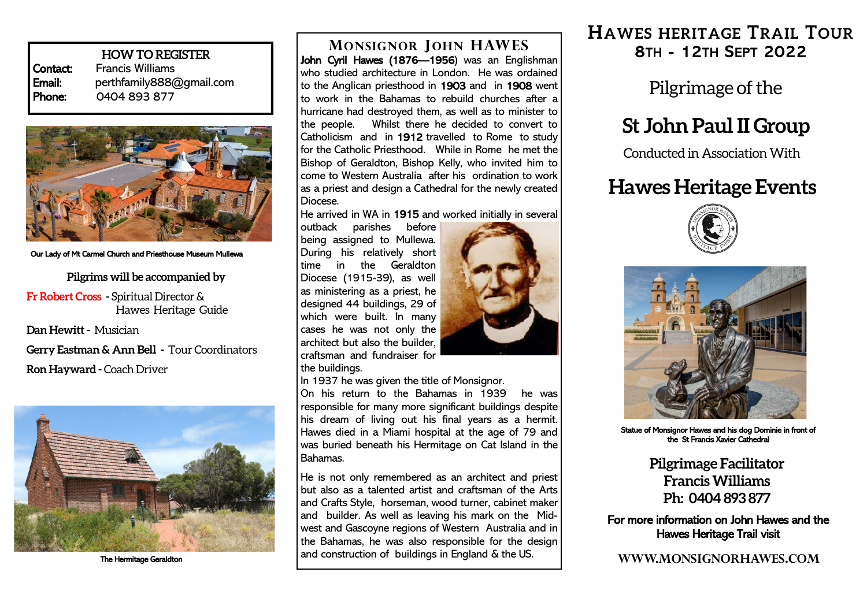**HOW TO REGISTER Contact:** Francis Williams<br> **Email:** perthfamily888 perthfamily888@gmail.com Phone: 0404 893 877



#### Our Lady of Mt Carmel Church and Priesthouse Museum Mullewa

**Pilgrims will be accompanied by**

**Fr Robert Cross -** Spiritual Director & Hawes Heritage Guide

**Dan Hewitt -** Musician

**Gerry Eastman & Ann Bell -** Tour Coordinators **Ron Hayward -** Coach Driver



The Hermitage Geraldton

John Cyril Hawes (1876—1956) was an Englishman who studied architecture in London. He was ordained to the Anglican priesthood in 1903 and in 1908 went to work in the Bahamas to rebuild churches after a hurricane had destroyed them, as well as to minister to the people. Whilst there he decided to convert to Catholicism and in 1912 travelled to Rome to study for the Catholic Priesthood. While in Rome he met the Bishop of Geraldton, Bishop Kelly, who invited him to come to Western Australia after his ordination to work as a priest and design a Cathedral for the newly created Diocese.

He arrived in WA in 1915 and worked initially in several

outback parishes before being assigned to Mullewa. During his relatively short time in the Geraldton Diocese (1915-39), as well as ministering as a priest, he designed 44 buildings, 29 of which were built. In many cases he was not only the architect but also the builder, craftsman and fundraiser for the buildings.



In 1937 he was given the title of Monsignor.

On his return to the Bahamas in 1939 he was responsible for many more significant buildings despite his dream of living out his final years as a hermit. Hawes died in a Miami hospital at the age of 79 and was buried beneath his Hermitage on Cat Island in the Bahamas.

He is not only remembered as an architect and priest but also as a talented artist and craftsman of the Arts and Crafts Style, horseman, wood turner, cabinet maker and builder. As well as leaving his mark on the Midwest and Gascoyne regions of Western Australia and in the Bahamas, he was also responsible for the design and construction of buildings in England & the US.

**HAWES HERITAGE TRAIL TOUR MONSIGNOR JOHN HAWES** 8TH - 12TH SEPT 2022

Pilgrimage of the

# **St John Paul II Group**

Conducted in Association With

# **Hawes Heritage Events**





Statue of Monsignor Hawes and his dog Dominie in front of the St Francis Xavier Cathedral

**Pilgrimage Facilitator Francis Williams Ph: 0404 893 877**

For more information on John Hawes and the Hawes Heritage Trail visit

**WWW.MONSIGNORHAWES.COM**